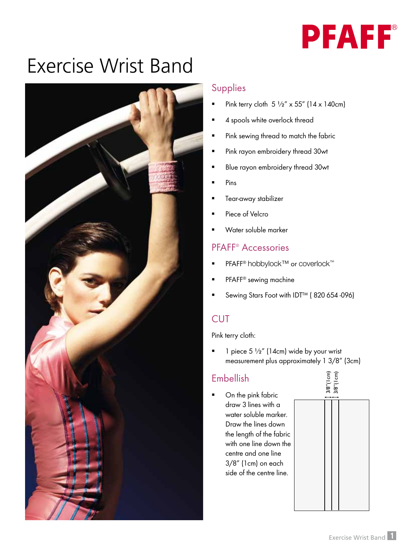

# Exercise Wrist Band



#### Supplies

- Pink terry cloth 5 ½" x 55" (14 x 140cm)
- 4 spools white overlock thread
- Pink sewing thread to match the fabric
- Pink rayon embroidery thread 30wt
- Blue rayon embroidery thread 30wt
- Pins
- Tear-away stabilizer
- Piece of Velcro
- Water soluble marker

#### PFAFF® Accessories

- PFAFF<sup>®</sup> hobbylock™ or coverlock™
- PFAFF® sewing machine
- Sewing Stars Foot with IDT™ ( 820 654 -096)

## **CUT**

Pink terry cloth:

 $\blacksquare$  1 piece 5 1/2" (14cm) wide by your wrist measurement plus approximately 1 3/8" (3cm)

## Embellish

 On the pink fabric draw 3 lines with a water soluble marker. Draw the lines down the length of the fabric with one line down the centre and one line 3/8" (1cm) on each side of the centre line.